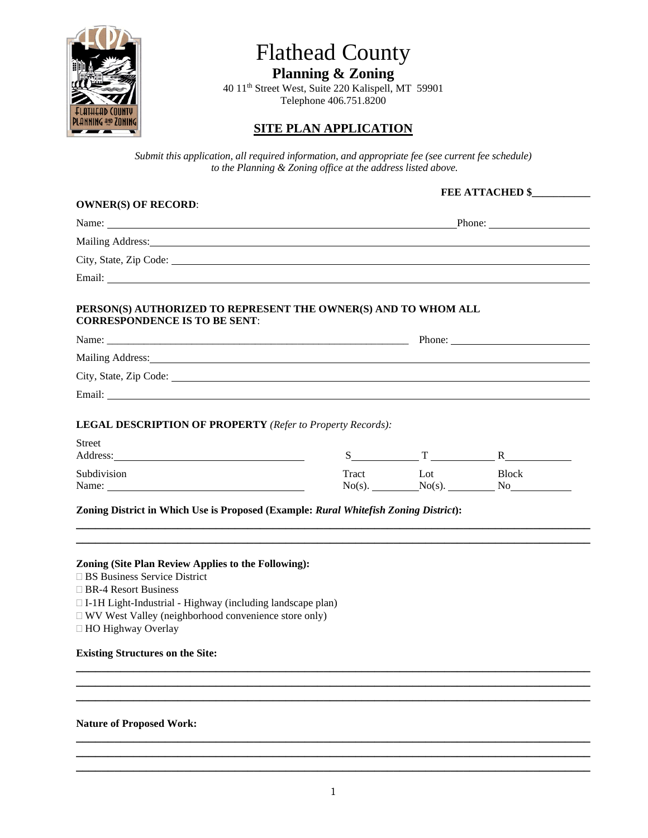

# Flathead County

**Planning & Zoning**  40 11th Street West, Suite 220 Kalispell, MT 59901 Telephone 406.751.8200

## **SITE PLAN APPLICATION**

*Submit this application, all required information, and appropriate fee (see current fee schedule) to the Planning & Zoning office at the address listed above.* 

|                                                                                                                                                                                                                                                                                    | FEE ATTACHED \$ |           |                                           |  |
|------------------------------------------------------------------------------------------------------------------------------------------------------------------------------------------------------------------------------------------------------------------------------------|-----------------|-----------|-------------------------------------------|--|
| <b>OWNER(S) OF RECORD:</b>                                                                                                                                                                                                                                                         |                 |           |                                           |  |
| Name: Phone: Phone: Phone: Phone: Phone: Phone: Phone: Phone: Phone: Phone: Phone: Phone: Phone: Phone: Phone: Phone: Phone: Phone: Phone: Phone: Phone: Phone: Phone: Phone: Phone: Phone: Phone: Phone: Phone: Phone: Phone:                                                     |                 |           |                                           |  |
| Mailing Address: National Address: National Address: National Address: National Address: National Address: National Address: National Address: National Address: National Address: National Address: National Address: Nationa                                                     |                 |           |                                           |  |
|                                                                                                                                                                                                                                                                                    |                 |           |                                           |  |
|                                                                                                                                                                                                                                                                                    |                 |           |                                           |  |
| PERSON(S) AUTHORIZED TO REPRESENT THE OWNER(S) AND TO WHOM ALL<br><b>CORRESPONDENCE IS TO BE SENT:</b>                                                                                                                                                                             |                 |           |                                           |  |
|                                                                                                                                                                                                                                                                                    |                 |           |                                           |  |
| Mailing Address: 1988 and 2008 and 2008 and 2008 and 2008 and 2008 and 2008 and 2008 and 2008 and 2008 and 200                                                                                                                                                                     |                 |           |                                           |  |
|                                                                                                                                                                                                                                                                                    |                 |           |                                           |  |
|                                                                                                                                                                                                                                                                                    |                 |           |                                           |  |
|                                                                                                                                                                                                                                                                                    |                 |           |                                           |  |
| <b>LEGAL DESCRIPTION OF PROPERTY</b> (Refer to Property Records):                                                                                                                                                                                                                  |                 |           |                                           |  |
| <b>Street</b><br>Address: 2008 and 2008 and 2008 and 2008 and 2008 and 2008 and 2008 and 2008 and 2008 and 2008 and 2008 and 20                                                                                                                                                    |                 |           | $S_{\text{}}$ $T_{\text{}}$ $R_{\text{}}$ |  |
| Subdivision                                                                                                                                                                                                                                                                        |                 | Tract Lot | Block<br>$No(s)$ . $No(s)$ . No No No     |  |
| Zoning District in Which Use is Proposed (Example: Rural Whitefish Zoning District):                                                                                                                                                                                               |                 |           |                                           |  |
| <b>Zoning (Site Plan Review Applies to the Following):</b><br>□ BS Business Service District<br>$\Box$ BR-4 Resort Business<br>□ I-1H Light-Industrial - Highway (including landscape plan)<br>$\Box$ WV West Valley (neighborhood convenience store only)<br>□ HO Highway Overlay |                 |           |                                           |  |
| <b>Existing Structures on the Site:</b>                                                                                                                                                                                                                                            |                 |           |                                           |  |
|                                                                                                                                                                                                                                                                                    |                 |           |                                           |  |
| <b>Nature of Proposed Work:</b>                                                                                                                                                                                                                                                    |                 |           |                                           |  |
|                                                                                                                                                                                                                                                                                    |                 |           |                                           |  |
|                                                                                                                                                                                                                                                                                    |                 |           |                                           |  |

**\_\_\_\_\_\_\_\_\_\_\_\_\_\_\_\_\_\_\_\_\_\_\_\_\_\_\_\_\_\_\_\_\_\_\_\_\_\_\_\_\_\_\_\_\_\_\_\_\_\_\_\_\_\_\_\_\_\_\_\_\_\_\_\_\_\_\_\_\_\_\_\_\_\_\_\_\_\_\_\_\_**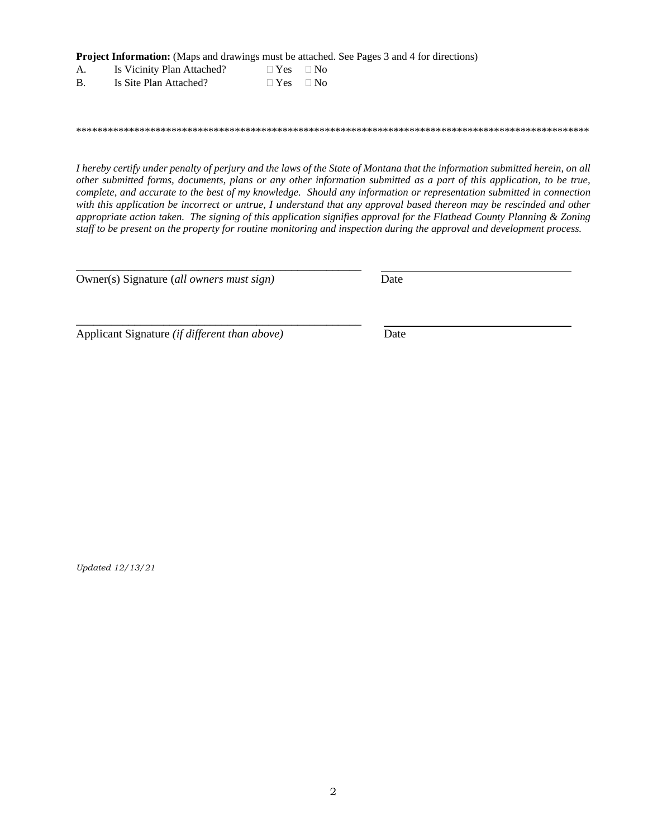**Project Information:** (Maps and drawings must be attached. See Pages 3 and 4 for directions)

| А. | Is Vicinity Plan Attached? | $\Box$ Yes | $\Box$ No |
|----|----------------------------|------------|-----------|
| В  | Is Site Plan Attached?     | $\Box$ Yes | $\Box$ No |

\*\*\*\*\*\*\*\*\*\*\*\*\*\*\*\*\*\*\*\*\*\*\*\*\*\*\*\*\*\*\*\*\*\*\*\*\*\*\*\*\*\*\*\*\*\*\*\*\*\*\*\*\*\*\*\*\*\*\*\*\*\*\*\*\*\*\*\*\*\*\*\*\*\*\*\*\*\*\*\*\*\*\*\*\*\*\*\*\*\*\*\*\*\*\*\*\*

*I hereby certify under penalty of perjury and the laws of the State of Montana that the information submitted herein, on all other submitted forms, documents, plans or any other information submitted as a part of this application, to be true, complete, and accurate to the best of my knowledge. Should any information or representation submitted in connection with this application be incorrect or untrue, I understand that any approval based thereon may be rescinded and other appropriate action taken. The signing of this application signifies approval for the Flathead County Planning & Zoning staff to be present on the property for routine monitoring and inspection during the approval and development process.* 

Owner(s) Signature (*all owners must sign)* Date

\_\_\_\_\_\_\_\_\_\_\_\_\_\_\_\_\_\_\_\_\_\_\_\_\_\_\_\_\_\_\_\_\_\_\_\_\_\_\_\_\_\_\_\_\_\_\_\_\_

\_\_\_\_\_\_\_\_\_\_\_\_\_\_\_\_\_\_\_\_\_\_\_\_\_\_\_\_\_\_\_\_\_\_\_\_\_\_\_\_\_\_\_\_\_\_\_\_\_

Applicant Signature *(if different than above)* Date

*Updated 12/13/21*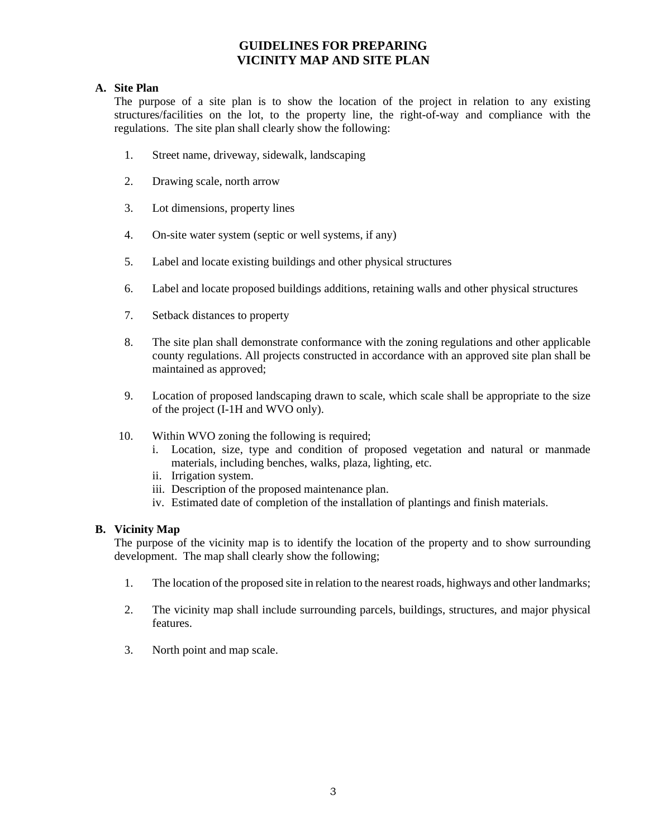## **GUIDELINES FOR PREPARING VICINITY MAP AND SITE PLAN**

#### **A. Site Plan**

The purpose of a site plan is to show the location of the project in relation to any existing structures/facilities on the lot, to the property line, the right-of-way and compliance with the regulations. The site plan shall clearly show the following:

- 1. Street name, driveway, sidewalk, landscaping
- 2. Drawing scale, north arrow
- 3. Lot dimensions, property lines
- 4. On-site water system (septic or well systems, if any)
- 5. Label and locate existing buildings and other physical structures
- 6. Label and locate proposed buildings additions, retaining walls and other physical structures
- 7. Setback distances to property
- 8. The site plan shall demonstrate conformance with the zoning regulations and other applicable county regulations. All projects constructed in accordance with an approved site plan shall be maintained as approved;
- 9. Location of proposed landscaping drawn to scale, which scale shall be appropriate to the size of the project (I-1H and WVO only).
- 10. Within WVO zoning the following is required;
	- i. Location, size, type and condition of proposed vegetation and natural or manmade materials, including benches, walks, plaza, lighting, etc.
	- ii. Irrigation system.
	- iii. Description of the proposed maintenance plan.
	- iv. Estimated date of completion of the installation of plantings and finish materials.

### **B. Vicinity Map**

The purpose of the vicinity map is to identify the location of the property and to show surrounding development. The map shall clearly show the following;

- 1. The location of the proposed site in relation to the nearest roads, highways and other landmarks;
- 2. The vicinity map shall include surrounding parcels, buildings, structures, and major physical features.
- 3. North point and map scale.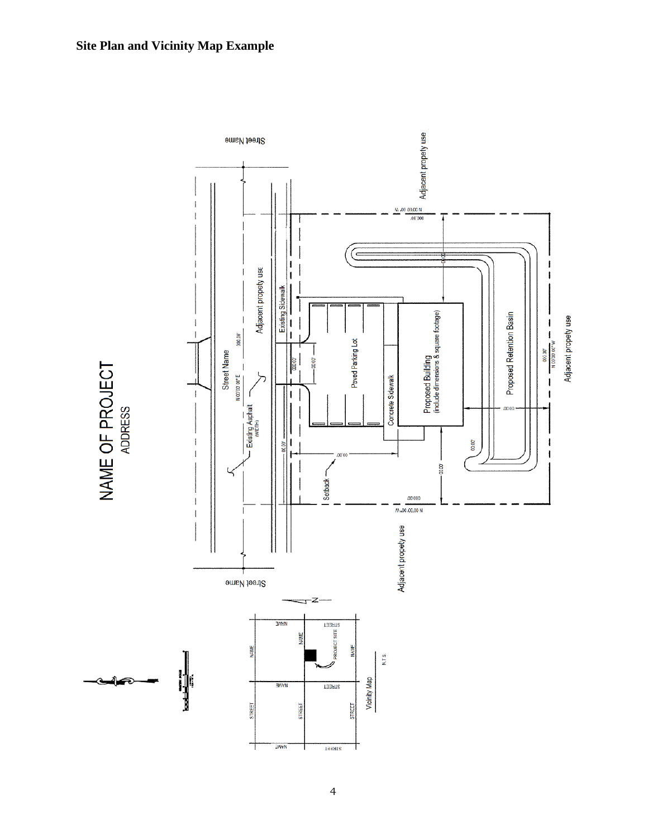

4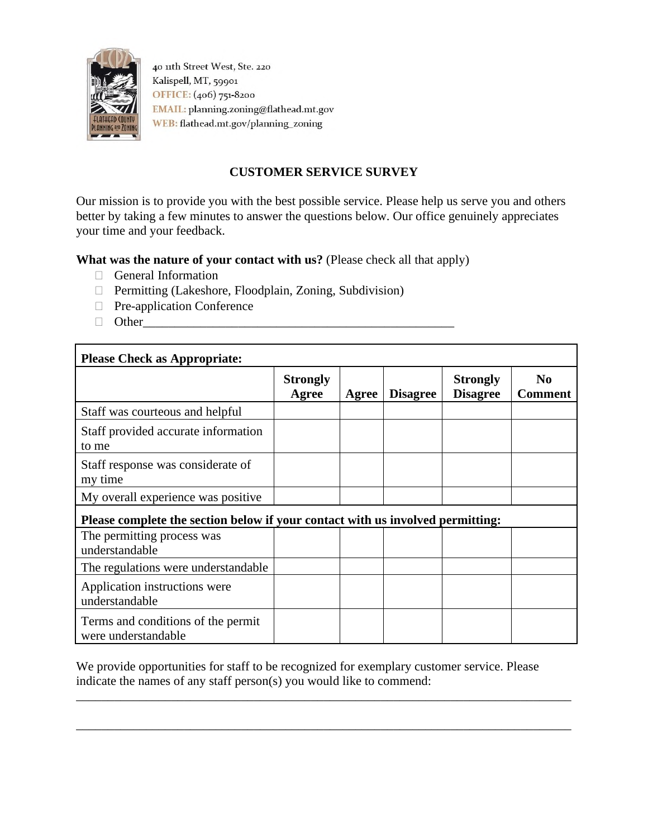

40 11th Street West, Ste. 220 Kalispell, MT, 59901 OFFICE: (406) 751-8200 EMAIL: planning.zoning@flathead.mt.gov WEB: flathead.mt.gov/planning\_zoning

## **CUSTOMER SERVICE SURVEY**

Our mission is to provide you with the best possible service. Please help us serve you and others better by taking a few minutes to answer the questions below. Our office genuinely appreciates your time and your feedback.

## **What was the nature of your contact with us? (Please check all that apply)**

- General Information
- □ Permitting (Lakeshore, Floodplain, Zoning, Subdivision)
- □ Pre-application Conference
- $\Box$  Other

| <b>Please Check as Appropriate:</b>                                            |                          |       |                 |                                    |                           |  |  |  |
|--------------------------------------------------------------------------------|--------------------------|-------|-----------------|------------------------------------|---------------------------|--|--|--|
|                                                                                | <b>Strongly</b><br>Agree | Agree | <b>Disagree</b> | <b>Strongly</b><br><b>Disagree</b> | N <sub>0</sub><br>Comment |  |  |  |
| Staff was courteous and helpful                                                |                          |       |                 |                                    |                           |  |  |  |
| Staff provided accurate information<br>to me                                   |                          |       |                 |                                    |                           |  |  |  |
| Staff response was considerate of<br>my time                                   |                          |       |                 |                                    |                           |  |  |  |
| My overall experience was positive                                             |                          |       |                 |                                    |                           |  |  |  |
| Please complete the section below if your contact with us involved permitting: |                          |       |                 |                                    |                           |  |  |  |
| The permitting process was<br>understandable                                   |                          |       |                 |                                    |                           |  |  |  |
| The regulations were understandable                                            |                          |       |                 |                                    |                           |  |  |  |
| Application instructions were<br>understandable                                |                          |       |                 |                                    |                           |  |  |  |
| Terms and conditions of the permit<br>were understandable                      |                          |       |                 |                                    |                           |  |  |  |

We provide opportunities for staff to be recognized for exemplary customer service. Please indicate the names of any staff person(s) you would like to commend:

\_\_\_\_\_\_\_\_\_\_\_\_\_\_\_\_\_\_\_\_\_\_\_\_\_\_\_\_\_\_\_\_\_\_\_\_\_\_\_\_\_\_\_\_\_\_\_\_\_\_\_\_\_\_\_\_\_\_\_\_\_\_\_\_\_\_\_\_\_\_\_\_\_\_\_\_\_\_

\_\_\_\_\_\_\_\_\_\_\_\_\_\_\_\_\_\_\_\_\_\_\_\_\_\_\_\_\_\_\_\_\_\_\_\_\_\_\_\_\_\_\_\_\_\_\_\_\_\_\_\_\_\_\_\_\_\_\_\_\_\_\_\_\_\_\_\_\_\_\_\_\_\_\_\_\_\_